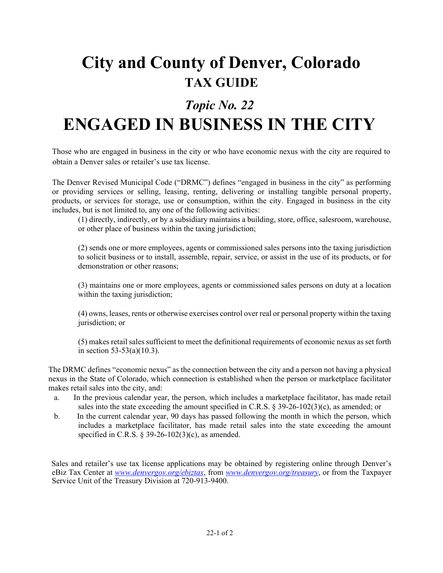## **City and County of Denver, Colorado TAX GUIDE**

## *Topic No. 22* **ENGAGED IN BUSINESS IN THE CITY**

Those who are engaged in business in the city or who have economic nexus with the city are required to obtain a Denver sales or retailer's use tax license.

The Denver Revised Municipal Code ("DRMC") defines "engaged in business in the city" as performing or providing services or selling, leasing, renting, delivering or installing tangible personal property, products, or services for storage, use or consumption, within the city. Engaged in business in the city includes, but is not limited to, any one of the following activities:

(1) directly, indirectly, or by a subsidiary maintains a building, store, office, salesroom, warehouse, or other place of business within the taxing jurisdiction;

(2) sends one or more employees, agents or commissioned sales persons into the taxing jurisdiction to solicit business or to install, assemble, repair, service, or assist in the use of its products, or for demonstration or other reasons;

(3) maintains one or more employees, agents or commissioned sales persons on duty at a location within the taxing jurisdiction;

(4) owns, leases, rents or otherwise exercises control over real or personal property within the taxing jurisdiction; or

(5) makes retail sales sufficient to meet the definitional requirements of economic nexus as set forth in section 53-53(a)(10.3).

The DRMC defines "economic nexus" as the connection between the city and a person not having a physical nexus in the State of Colorado, which connection is established when the person or marketplace facilitator makes retail sales into the city, and:

- a. In the previous calendar year, the person, which includes a marketplace facilitator, has made retail sales into the state exceeding the amount specified in C.R.S. § 39-26-102(3)(c), as amended; or
- b. In the current calendar year, 90 days has passed following the month in which the person, which includes a marketplace facilitator, has made retail sales into the state exceeding the amount specified in C.R.S.  $\S$  39-26-102(3)(c), as amended.

Sales and retailer's use tax license applications may be obtained by registering online through Denver's eBiz Tax Center at *www.denvergov.org/ebiztax*, from *www.denvergov.org/treasury*, or from the Taxpayer Service Unit of the Treasury Division at 720-913-9400.